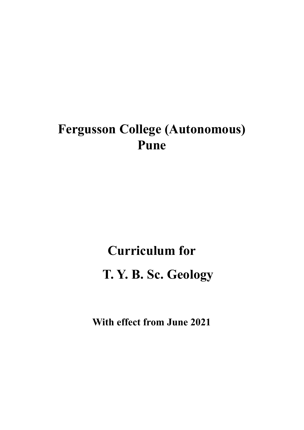# **Fergusson College (Autonomous) Pune**

# **Curriculum for T. Y. B. Sc. Geology**

**With effect from June 2021**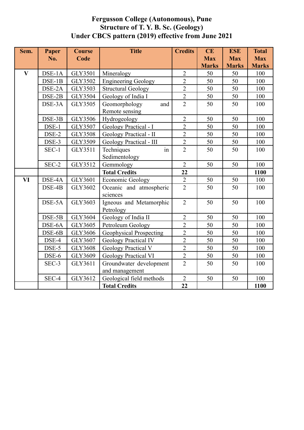### **Fergusson College (Autonomous), Pune Structure of T. Y. B. Sc. (Geology) Under CBCS pattern (2019) effective from June 2021**

| Sem.                    | Paper    | <b>Course</b>  | <b>Title</b>                | <b>Credits</b> | CE           | <b>ESE</b>   | <b>Total</b> |
|-------------------------|----------|----------------|-----------------------------|----------------|--------------|--------------|--------------|
|                         | No.      | Code           |                             |                | <b>Max</b>   | <b>Max</b>   | <b>Max</b>   |
|                         |          |                |                             |                | <b>Marks</b> | <b>Marks</b> | <b>Marks</b> |
| $\overline{\mathbf{V}}$ | DSE-1A   | <b>GLY3501</b> | Mineralogy                  | $\overline{2}$ | 50           | 50           | 100          |
|                         | $DSE-1B$ | GLY3502        | <b>Engineering Geology</b>  | $\overline{2}$ | 50           | 50           | 100          |
|                         | DSE-2A   | <b>GLY3503</b> | <b>Structural Geology</b>   | $\overline{2}$ | 50           | 50           | 100          |
|                         | DSE-2B   | GLY3504        | Geology of India I          | $\overline{2}$ | 50           | 50           | 100          |
|                         | DSE-3A   | GLY3505        | Geomorphology<br>and        | $\overline{2}$ | 50           | 50           | 100          |
|                         |          |                | Remote sensing              |                |              |              |              |
|                         | DSE-3B   | GLY3506        | Hydrogeology                | $\overline{2}$ | 50           | 50           | 100          |
|                         | DSE-1    | GLY3507        | Geology Practical - I       | $\overline{2}$ | 50           | 50           | 100          |
|                         | DSE-2    | <b>GLY3508</b> | Geology Practical - II      | $\overline{2}$ | 50           | 50           | 100          |
|                         | DSE-3    | GLY3509        | Geology Practical - III     | $\overline{2}$ | 50           | 50           | 100          |
|                         | SEC-1    | GLY3511        | Techniques<br>in            | $\overline{2}$ | 50           | 50           | 100          |
|                         |          |                | Sedimentology               |                |              |              |              |
|                         | SEC-2    | GLY3512        | Gemmology                   | $\overline{2}$ | 50           | 50           | 100          |
|                         |          |                | <b>Total Credits</b>        | 22             |              |              | 1100         |
| VI                      | DSE-4A   | GLY3601        | <b>Economic Geology</b>     | $\overline{2}$ | 50           | 50           | 100          |
|                         | DSE-4B   | GLY3602        | Oceanic and atmospheric     | $\overline{2}$ | 50           | 50           | 100          |
|                         |          |                | sciences                    |                |              |              |              |
|                         | DSE-5A   | GLY3603        | Igneous and Metamorphic     | $\overline{2}$ | 50           | 50           | 100          |
|                         |          |                | Petrology                   |                |              |              |              |
|                         | $DSE-5B$ | GLY3604        | Geology of India II         | $\overline{2}$ | 50           | 50           | 100          |
|                         | DSE-6A   | GLY3605        | Petroleum Geology           | $\overline{2}$ | 50           | 50           | 100          |
|                         | DSE-6B   | GLY3606        | Geophysical Prospecting     | $\overline{2}$ | 50           | 50           | 100          |
|                         | DSE-4    | GLY3607        | <b>Geology Practical IV</b> | $\overline{2}$ | 50           | 50           | 100          |
|                         | DSE-5    | <b>GLY3608</b> | Geology Practical V         | $\overline{2}$ | 50           | 50           | 100          |
|                         | DSE-6    | GLY3609        | <b>Geology Practical VI</b> | $\overline{2}$ | 50           | 50           | 100          |
|                         | SEC-3    | GLY3611        | Groundwater development     | $\overline{2}$ | 50           | 50           | 100          |
|                         |          |                | and management              |                |              |              |              |
|                         | SEC-4    | GLY3612        | Geological field methods    | $\overline{2}$ | 50           | 50           | 100          |
|                         |          |                | <b>Total Credits</b>        | 22             |              |              | 1100         |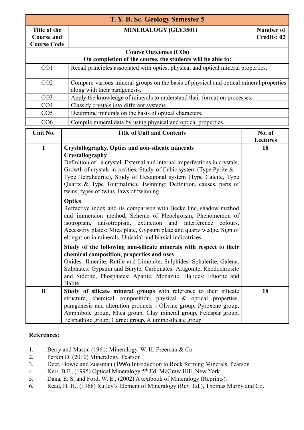| T. Y. B. Sc. Geology Semester 5                         |                                                                                                                                                                                                                                                                                                                                                                |                                                                                        |  |  |
|---------------------------------------------------------|----------------------------------------------------------------------------------------------------------------------------------------------------------------------------------------------------------------------------------------------------------------------------------------------------------------------------------------------------------------|----------------------------------------------------------------------------------------|--|--|
| Title of the<br><b>Course and</b><br><b>Course Code</b> | <b>MINERALOGY (GLY3501)</b>                                                                                                                                                                                                                                                                                                                                    | <b>Number of</b><br><b>Credits: 02</b>                                                 |  |  |
|                                                         | <b>Course Outcomes (COs)</b>                                                                                                                                                                                                                                                                                                                                   |                                                                                        |  |  |
|                                                         | On completion of the course, the students will be able to:                                                                                                                                                                                                                                                                                                     |                                                                                        |  |  |
| CO <sub>1</sub>                                         | Recall principles associated with optics, physical and optical mineral properties.                                                                                                                                                                                                                                                                             |                                                                                        |  |  |
| CO <sub>2</sub>                                         | along with their paragenesis.                                                                                                                                                                                                                                                                                                                                  | Compare various mineral groups on the basis of physical and optical mineral properties |  |  |
| CO <sub>3</sub>                                         | Apply the knowledge of minerals to understand their formation processes.                                                                                                                                                                                                                                                                                       |                                                                                        |  |  |
| CO <sub>4</sub>                                         | Classify crystals into different systems.                                                                                                                                                                                                                                                                                                                      |                                                                                        |  |  |
| CO <sub>5</sub>                                         | Determine minerals on the basis of optical characters.                                                                                                                                                                                                                                                                                                         |                                                                                        |  |  |
| CO6                                                     | Compile mineral data by using physical and optical properties.                                                                                                                                                                                                                                                                                                 |                                                                                        |  |  |
| Unit No.                                                | <b>Title of Unit and Contents</b>                                                                                                                                                                                                                                                                                                                              | No. of                                                                                 |  |  |
| $\mathbf I$                                             | <b>Crystallography, Optics and non-silicate minerals</b>                                                                                                                                                                                                                                                                                                       | <b>Lectures</b><br>18                                                                  |  |  |
|                                                         | Crystallography<br>Definition of a crystal. External and internal imperfections in crystals,<br>Growth of crystals in cavities, Study of Cubic system (Type Pyrite &<br>Type Tetrahedrite), Study of Hexagonal system (Type Calcite, Type<br>Quartz & Type Tourmaline), Twinning: Definition, causes, parts of<br>twins, types of twins, laws of twinning.     |                                                                                        |  |  |
|                                                         | <b>Optics</b><br>Refractive index and its comparison with Becke line, shadow method<br>and immersion method, Scheme of Pleochroism, Phenomemon of<br>isotropism,<br>anisotropism, extinction and interference<br>colours.<br>Accessory plates: Mica plate, Gypsum plate and quartz wedge, Sign of<br>clongation in minorals. Unioxial and his vial indications |                                                                                        |  |  |

|              | elongation in minerals, Uniaxial and biaxial indicatrices             |    |
|--------------|-----------------------------------------------------------------------|----|
|              | Study of the following non-silicate minerals with respect to their    |    |
|              | chemical composition, properties and uses                             |    |
|              | Oxides: Ilmenite, Rutile and Limonite, Sulphides: Sphalerite, Galena, |    |
|              | Sulphates: Gypsum and Baryte, Carbonates: Aragonite, Rhodochrosite    |    |
|              | and Siderite, Phosphates: Apatite, Monazite, Halides: Fluorite and    |    |
|              | Halite                                                                |    |
| $\mathbf{I}$ | Study of silicate mineral groups with reference to their silicate     | 18 |
|              | structure, chemical composition, physical & optical properties,       |    |
|              | paragenesis and alteration products - Olivine group, Pyroxene group,  |    |
|              | Amphibole group, Mica group, Clay mineral group, Feldspar group,      |    |
|              | Felspathoid group, Garnet group, Aluminosilicate group                |    |

- 1. Berry and Mason (1961) Mineralogy. W. H. Freeman & Co.
- 2. Perkin D. (2010) Mineralogy, Pearson
- 3. Deer, Howie and Zussman (1996) Introduction to Rock forming Minerals, Pearson
- 4. Kerr, B.F., (1995) Optical Mineralogy  $5<sup>th</sup>$  Ed. McGraw Hill, New York
- 5. Dana, E. S. and Ford, W. E., (2002) A textbook of Mineralogy (Reprints).
- 6. Read, H. H., (1968) Rutley's Element of Mineralogy (Rev. Ed.), Thomas Murby and Co.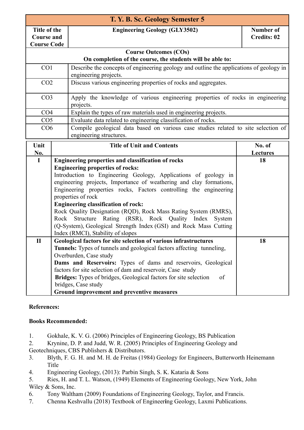| T. Y. B. Sc. Geology Semester 5 |                                                                                                                  |                    |  |  |
|---------------------------------|------------------------------------------------------------------------------------------------------------------|--------------------|--|--|
| Title of the                    | <b>Engineering Geology (GLY3502)</b>                                                                             | Number of          |  |  |
| <b>Course and</b>               |                                                                                                                  | <b>Credits: 02</b> |  |  |
| <b>Course Code</b>              |                                                                                                                  |                    |  |  |
|                                 | <b>Course Outcomes (COs)</b>                                                                                     |                    |  |  |
|                                 | On completion of the course, the students will be able to:                                                       |                    |  |  |
| CO <sub>1</sub>                 | Describe the concepts of engineering geology and outline the applications of geology in<br>engineering projects. |                    |  |  |
| CO <sub>2</sub>                 | Discuss various engineering properties of rocks and aggregates.                                                  |                    |  |  |
| CO <sub>3</sub>                 | Apply the knowledge of various engineering properties of rocks in engineering<br>projects.                       |                    |  |  |
| CO <sub>4</sub>                 | Explain the types of raw materials used in engineering projects.                                                 |                    |  |  |
| CO <sub>5</sub>                 | Evaluate data related to engineering classification of rocks.                                                    |                    |  |  |
| CO6                             | Compile geological data based on various case studies related to site selection of<br>engineering structures.    |                    |  |  |

| Unit         | <b>Title of Unit and Contents</b>                                                                                                      | No. of          |
|--------------|----------------------------------------------------------------------------------------------------------------------------------------|-----------------|
| No.          |                                                                                                                                        | <b>Lectures</b> |
| $\bf{I}$     | <b>Engineering properties and classification of rocks</b>                                                                              | 18              |
|              | <b>Engineering properties of rocks:</b>                                                                                                |                 |
|              | Introduction to Engineering Geology, Applications of geology in<br>engineering projects, Importance of weathering and clay formations, |                 |
|              | Engineering properties rocks, Factors controlling the engineering<br>properties of rock                                                |                 |
|              | <b>Engineering classification of rock:</b>                                                                                             |                 |
|              | Rock Quality Designation (RQD), Rock Mass Rating System (RMRS),                                                                        |                 |
|              | Rock Structure Rating (RSR), Rock Quality Index System                                                                                 |                 |
|              | (Q-System), Geological Strength Index (GSI) and Rock Mass Cutting                                                                      |                 |
|              | Index (RMCI), Stability of slopes                                                                                                      |                 |
| $\mathbf{I}$ | Geological factors for site selection of various infrastructures                                                                       | 18              |
|              | <b>Tunnels:</b> Types of tunnels and geological factors affecting tunneling,                                                           |                 |
|              | Overburden, Case study                                                                                                                 |                 |
|              | <b>Dams and Reservoirs:</b> Types of dams and reservoirs, Geological                                                                   |                 |
|              | factors for site selection of dam and reservoir, Case study                                                                            |                 |
|              | Bridges: Types of bridges, Geological factors for site selection<br>of                                                                 |                 |
|              | bridges, Case study                                                                                                                    |                 |
|              | Ground improvement and preventive measures                                                                                             |                 |

#### **Books Recommended:**

- 1. Gokhale, K. V. G. (2006) Principles of Engineering Geology, BS Publication
- 2. Krynine, D. P. and Judd, W. R. (2005) Principles of Engineering Geology and Geotechniques, CBS Publishers & Distributors.
- 3. Blyth, F. G. H. and M. H. de Freitas (1984) Geology for Engineers, Butterworth Heinemann Title
- 4. Engineering Geology, (2013): Parbin Singh, S. K. Kataria & Sons
- 5. Ries, H. and T. L. Watson, (1949) Elements of Engineering Geology, New York, John Wiley & Sons, Inc.
- 6. Tony Waltham (2009) Foundations of Engineering Geology, Taylor, and Francis.
- 7. Chenna Keshvallu (2018) Textbook of Engineer**i**ng Geology, Laxmi Publications.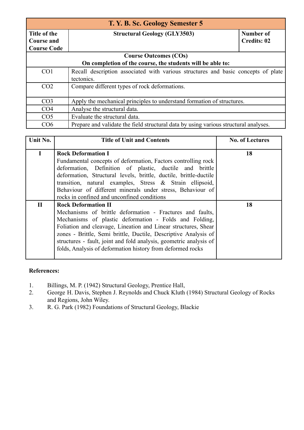| T. Y. B. Sc. Geology Semester 5 |                                                                                      |                    |  |  |
|---------------------------------|--------------------------------------------------------------------------------------|--------------------|--|--|
| Title of the                    | <b>Structural Geology (GLY3503)</b>                                                  | Number of          |  |  |
| <b>Course and</b>               |                                                                                      | <b>Credits: 02</b> |  |  |
| <b>Course Code</b>              |                                                                                      |                    |  |  |
|                                 | <b>Course Outcomes (COs)</b>                                                         |                    |  |  |
|                                 | On completion of the course, the students will be able to:                           |                    |  |  |
| CO <sub>1</sub>                 | Recall description associated with various structures and basic concepts of plate    |                    |  |  |
|                                 | tectonics.                                                                           |                    |  |  |
| CO <sub>2</sub>                 | Compare different types of rock deformations.                                        |                    |  |  |
|                                 |                                                                                      |                    |  |  |
| CO <sub>3</sub>                 | Apply the mechanical principles to understand formation of structures.               |                    |  |  |
| CO <sub>4</sub>                 | Analyse the structural data.                                                         |                    |  |  |
| CO <sub>5</sub>                 | Evaluate the structural data.                                                        |                    |  |  |
| CO6                             | Prepare and validate the field structural data by using various structural analyses. |                    |  |  |

| Unit No.     | <b>Title of Unit and Contents</b>                                                                                                                                                                                                                                                                                                                                                                                          | <b>No. of Lectures</b> |
|--------------|----------------------------------------------------------------------------------------------------------------------------------------------------------------------------------------------------------------------------------------------------------------------------------------------------------------------------------------------------------------------------------------------------------------------------|------------------------|
| $\mathbf{I}$ | <b>Rock Deformation I</b><br>Fundamental concepts of deformation, Factors controlling rock<br>deformation, Definition of plastic, ductile and brittle<br>deformation, Structural levels, brittle, ductile, brittle-ductile<br>transition, natural examples, Stress & Strain ellipsoid,<br>Behaviour of different minerals under stress, Behaviour of<br>rocks in confined and unconfined conditions                        | 18                     |
| П            | <b>Rock Deformation II</b><br>Mechanisms of brittle deformation - Fractures and faults,<br>Mechanisms of plastic deformation - Folds and Folding,<br>Foliation and cleavage, Lineation and Linear structures, Shear<br>zones - Brittle, Semi brittle, Ductile, Descriptive Analysis of<br>structures - fault, joint and fold analysis, geometric analysis of<br>folds, Analysis of deformation history from deformed rocks | 18                     |

- 1. Billings, M. P. (1942) Structural Geology, Prentice Hall,<br>2. George H. Davis, Stephen J. Reynolds and Chuck Kluth
- George H. Davis, Stephen J. Reynolds and Chuck Kluth (1984) Structural Geology of Rocks and Regions, John Wiley.
- 3. R. G. Park (1982) Foundations of Structural Geology, Blackie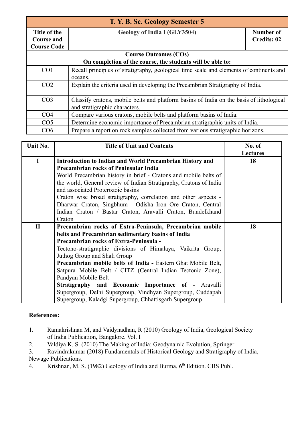| T. Y. B. Sc. Geology Semester 5 |                                                                                          |                    |  |  |
|---------------------------------|------------------------------------------------------------------------------------------|--------------------|--|--|
| Title of the                    | Geology of India I (GLY3504)                                                             | Number of          |  |  |
| <b>Course and</b>               |                                                                                          | <b>Credits: 02</b> |  |  |
| <b>Course Code</b>              |                                                                                          |                    |  |  |
|                                 | <b>Course Outcomes (COs)</b>                                                             |                    |  |  |
|                                 | On completion of the course, the students will be able to:                               |                    |  |  |
| CO <sub>1</sub>                 | Recall principles of stratigraphy, geological time scale and elements of continents and  |                    |  |  |
|                                 | oceans.                                                                                  |                    |  |  |
| CO <sub>2</sub>                 | Explain the criteria used in developing the Precambrian Stratigraphy of India.           |                    |  |  |
|                                 |                                                                                          |                    |  |  |
| CO <sub>3</sub>                 | Classify cratons, mobile belts and platform basins of India on the basis of lithological |                    |  |  |
|                                 | and stratigraphic characters.                                                            |                    |  |  |
| CO <sub>4</sub>                 | Compare various cratons, mobile belts and platform basins of India.                      |                    |  |  |
| CO <sub>5</sub>                 | Determine economic importance of Precambrian stratigraphic units of India.               |                    |  |  |
| CO6                             | Prepare a report on rock samples collected from various stratigraphic horizons.          |                    |  |  |

| Unit No.     | <b>Title of Unit and Contents</b>                                  | No. of          |
|--------------|--------------------------------------------------------------------|-----------------|
|              |                                                                    | <b>Lectures</b> |
| $\mathbf I$  | Introduction to Indian and World Precambrian History and           | 18              |
|              | <b>Precambrian rocks of Peninsular India</b>                       |                 |
|              | World Precambrian history in brief - Cratons and mobile belts of   |                 |
|              | the world, General review of Indian Stratigraphy, Cratons of India |                 |
|              | and associated Proterozoic basins                                  |                 |
|              | Craton wise broad stratigraphy, correlation and other aspects -    |                 |
|              | Dharwar Craton, Singbhum - Odisha Iron Ore Craton, Central         |                 |
|              | Indian Craton / Bastar Craton, Aravalli Craton, Bundelkhand        |                 |
|              | Craton                                                             |                 |
| $\mathbf{I}$ | Precambrian rocks of Extra-Peninsula, Precambrian mobile           | 18              |
|              | belts and Precambrian sedimentary basins of India                  |                 |
|              | <b>Precambrian rocks of Extra-Peninsula -</b>                      |                 |
|              | Tectono-stratigraphic divisions of Himalaya, Vaikrita Group,       |                 |
|              | Juthog Group and Shali Group                                       |                 |
|              | Precambrian mobile belts of India - Eastern Ghat Mobile Belt,      |                 |
|              | Satpura Mobile Belt / CITZ (Central Indian Tectonic Zone),         |                 |
|              | Pandyan Mobile Belt                                                |                 |
|              | <b>Stratigraphy and Economic Importance of - Aravalli</b>          |                 |
|              | Supergroup, Delhi Supergroup, Vindhyan Supergroup, Cuddapah        |                 |
|              | Supergroup, Kaladgi Supergroup, Chhattisgarh Supergroup            |                 |

- 1. Ramakrishnan M, and Vaidynadhan, R (2010) Geology of India, Geological Society of India Publication, Bangalore. Vol. I
- 2. Valdiya K. S. (2010) The Making of India: Geodynamic Evolution, Springer
- 3. Ravindrakumar (2018) Fundamentals of Historical Geology and Stratigraphy of India, Newage Publications.
- 4. Krishnan, M. S. (1982) Geology of India and Burma, 6<sup>th</sup> Edition. CBS Publ.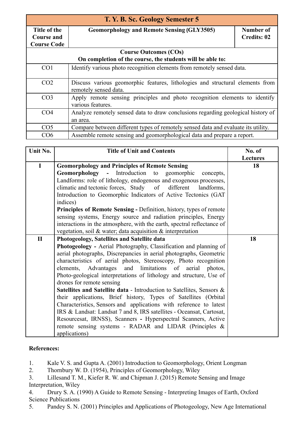| T. Y. B. Sc. Geology Semester 5 |                                                                                                        |                    |  |  |
|---------------------------------|--------------------------------------------------------------------------------------------------------|--------------------|--|--|
| Title of the                    | <b>Geomorphology and Remote Sensing (GLY3505)</b>                                                      | Number of          |  |  |
| <b>Course and</b>               |                                                                                                        | <b>Credits: 02</b> |  |  |
| <b>Course Code</b>              |                                                                                                        |                    |  |  |
|                                 | <b>Course Outcomes (COs)</b>                                                                           |                    |  |  |
|                                 | On completion of the course, the students will be able to:                                             |                    |  |  |
| CO <sub>1</sub>                 | Identify various photo recognition elements from remotely sensed data.                                 |                    |  |  |
| CO <sub>2</sub>                 | Discuss various geomorphic features, lithologies and structural elements from<br>remotely sensed data. |                    |  |  |
| CO <sub>3</sub>                 | Apply remote sensing principles and photo recognition elements to identify<br>various features.        |                    |  |  |
| CO <sub>4</sub>                 | Analyze remotely sensed data to draw conclusions regarding geological history of<br>an area.           |                    |  |  |
| CO <sub>5</sub>                 | Compare between different types of remotely sensed data and evaluate its utility.                      |                    |  |  |
| CO6                             | Assemble remote sensing and geomorphological data and prepare a report.                                |                    |  |  |

| Unit No.     | <b>Title of Unit and Contents</b>                                          | No. of          |
|--------------|----------------------------------------------------------------------------|-----------------|
|              |                                                                            | <b>Lectures</b> |
| $\mathbf I$  | <b>Geomorphology and Principles of Remote Sensing</b>                      | 18              |
|              | Geomorphology - Introduction to geomorphic<br>concepts,                    |                 |
|              | Landforms: role of lithology, endogenous and exogenous processes,          |                 |
|              | climatic and tectonic forces, Study of different landforms,                |                 |
|              | Introduction to Geomorphic Indicators of Active Tectonics (GAT             |                 |
|              | indices)                                                                   |                 |
|              | <b>Principles of Remote Sensing - Definition, history, types of remote</b> |                 |
|              | sensing systems, Energy source and radiation principles, Energy            |                 |
|              | interactions in the atmosphere, with the earth, spectral reflectance of    |                 |
|              | vegetation, soil & water; data acquisition $\&$ interpretation             |                 |
| $\mathbf{I}$ | Photogeology, Satellites and Satellite data                                | 18              |
|              | <b>Photogeology</b> - Aerial Photography, Classification and planning of   |                 |
|              | aerial photographs, Discrepancies in aerial photographs, Geometric         |                 |
|              | characteristics of aerial photos, Stereoscopy, Photo recognition           |                 |
|              | elements, Advantages and limitations of aerial photos,                     |                 |
|              | Photo-geological interpretations of lithology and structure, Use of        |                 |
|              | drones for remote sensing                                                  |                 |
|              | Satellites and Satellite data - Introduction to Satellites, Sensors &      |                 |
|              | their applications, Brief history, Types of Satellites (Orbital            |                 |
|              | Characteristics, Sensors and applications with reference to latest         |                 |
|              | IRS & Landsat: Landsat 7 and 8, IRS satellites - Oceansat, Cartosat,       |                 |
|              | Resourcesat, IRNSS), Scanners - Hyperspectral Scanners, Active             |                 |
|              | remote sensing systems - RADAR and LIDAR (Principles &                     |                 |
|              | applications)                                                              |                 |

1. Kale V. S. and Gupta A. (2001) Introduction to Geomorphology, Orient Longman

2. Thornbury W. D. (1954), Principles of Geomorphology, Wiley

3. Lillesand T. M., Kiefer R. W. and Chipman J. (2015) Remote Sensing and Image Interpretation, Wiley

4. Drury S. A. (1990) A Guide to Remote Sensing - Interpreting Images of Earth, Oxford Science Publications

5. Pandey S. N. (2001) Principles and Applications of Photogeology, New Age International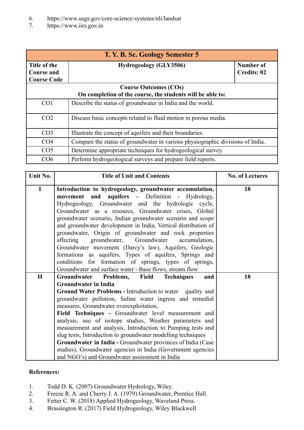- 6. <https://www.usgs.gov/core-science-systems/nli/landsat>
- 7. <https://www.iirs.gov.in>

| T. Y. B. Sc. Geology Semester 5 |                                                                                |                    |  |
|---------------------------------|--------------------------------------------------------------------------------|--------------------|--|
| Title of the                    | <b>Hydrogeology (GLY3506)</b>                                                  | <b>Number of</b>   |  |
| <b>Course and</b>               |                                                                                | <b>Credits: 02</b> |  |
| <b>Course Code</b>              |                                                                                |                    |  |
|                                 | <b>Course Outcomes (COs)</b>                                                   |                    |  |
|                                 | On completion of the course, the students will be able to:                     |                    |  |
| CO <sub>1</sub>                 | Describe the status of groundwater in India and the world.                     |                    |  |
| CO <sub>2</sub>                 | Discuss basic concepts related to fluid motion in porous media.                |                    |  |
| CO <sub>3</sub>                 | Illustrate the concept of aquifers and their boundaries.                       |                    |  |
| CO <sub>4</sub>                 | Compare the status of groundwater in various physiographic divisions of India. |                    |  |
| CO <sub>5</sub>                 | Determine appropriate techniques for hydrogeological survey.                   |                    |  |
| CO6                             | Perform hydrogeological surveys and prepare field reports.                     |                    |  |

| Unit No.     | <b>Title of Unit and Contents</b>                                                                                                                                                                                                                                                                                                                                                                                                                                                                                                                                                                                                                                                                                     | <b>No. of Lectures</b> |
|--------------|-----------------------------------------------------------------------------------------------------------------------------------------------------------------------------------------------------------------------------------------------------------------------------------------------------------------------------------------------------------------------------------------------------------------------------------------------------------------------------------------------------------------------------------------------------------------------------------------------------------------------------------------------------------------------------------------------------------------------|------------------------|
| I            | Introduction to hydrogeology, groundwater accumulation,<br>movement and aquifers - Definition - Hydrology,<br>Hydrogeology, Groundwater and the hydrologic cycle,<br>Groundwater as a resource, Groundwater crises, Global<br>groundwater scenario, Indian groundwater scenario and scope<br>and groundwater development in India, Vertical distribution of<br>groundwater, Origin of groundwater and rock properties<br>affecting groundwater, Groundwater<br>accumulation,<br>Groundwater movement (Darcy's law), Aquifers, Geologic<br>formations as aquifers, Types of aquifers, Springs and<br>conditions for formation of springs, types of springs,<br>Groundwater and surface water - Base flows, stream flow | 18                     |
| $\mathbf{I}$ | Groundwater Problems,<br>Field<br><b>Techniques</b><br>and                                                                                                                                                                                                                                                                                                                                                                                                                                                                                                                                                                                                                                                            | 18                     |
|              | <b>Groundwater in India</b>                                                                                                                                                                                                                                                                                                                                                                                                                                                                                                                                                                                                                                                                                           |                        |
|              | <b>Ground Water Problems - Introduction to water</b> quality and<br>groundwater pollution, Saline water ingress and remedial                                                                                                                                                                                                                                                                                                                                                                                                                                                                                                                                                                                          |                        |
|              | measures, Groundwater overexploitation,                                                                                                                                                                                                                                                                                                                                                                                                                                                                                                                                                                                                                                                                               |                        |
|              | Field Techniques - Groundwater level measurement and<br>analysis, use of isotope studies, Weather parameters and<br>measurement and analysis, Introduction to Pumping tests and<br>slug tests, Introduction to groundwater modelling techniques<br>Groundwater in India - Groundwater provinces of India (Case<br>studies), Groundwater agencies in India (Government agencies                                                                                                                                                                                                                                                                                                                                        |                        |
|              | and NGO's) and Groundwater assessment in India                                                                                                                                                                                                                                                                                                                                                                                                                                                                                                                                                                                                                                                                        |                        |

- 1. Todd D. K. (2007) Groundwater Hydrology, Wiley.
- 2. Freeze R. A. and Cherry J. A. (1979) Groundwater, Prentice Hall.
- 3. Fetter C. W. (2018) Applied Hydrogeology, Waveland Press.
- 4. Brassington R. (2017) Field Hydrogeology, Wiley Blackwell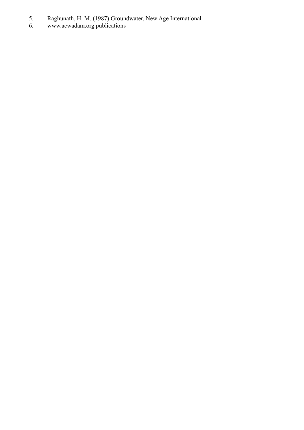- 5. Raghunath, H. M. (1987) Groundwater, New Age International
- 6. [www.acwadam.org](http://www.acwadam.org) publications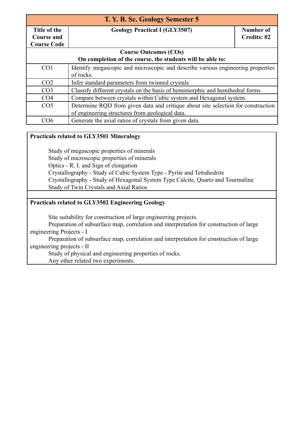| T. Y. B. Sc. Geology Semester 5                            |                                                                                  |                    |  |
|------------------------------------------------------------|----------------------------------------------------------------------------------|--------------------|--|
| Title of the                                               | <b>Geology Practical I (GLY3507)</b>                                             | Number of          |  |
| <b>Course and</b>                                          |                                                                                  | <b>Credits: 02</b> |  |
| <b>Course Code</b>                                         |                                                                                  |                    |  |
|                                                            | <b>Course Outcomes (COs)</b>                                                     |                    |  |
| On completion of the course, the students will be able to: |                                                                                  |                    |  |
| CO <sub>1</sub>                                            | Identify megascopic and microscopic and describe various engineering properties  |                    |  |
|                                                            | of rocks.                                                                        |                    |  |
| CO <sub>2</sub>                                            | Infer standard parameters from twinned crystals                                  |                    |  |
| CO <sub>3</sub>                                            | Classify different crystals on the basis of hemimorphic and hemihedral forms     |                    |  |
| CO <sub>4</sub>                                            | Compare between crystals within Cubic system and Hexagonal system.               |                    |  |
| CO <sub>5</sub>                                            | Determine RQD from given data and critique about site selection for construction |                    |  |
|                                                            | of engineering structures from geological data.                                  |                    |  |
| CO6                                                        | Generate the axial ratios of crystals from given data.                           |                    |  |

#### **Practicals related to GLY3501 Mineralogy**

Study of megascopic properties of minerals Study of microscopic properties of minerals Optics - R. I. and Sign of elongation Crystallography - Study of Cubic System Type - Pyrite and Tetrahedrite Crystallography - Study of Hexagonal System Type Calcite, Quartz and Tourmaline Study of Twin Crystals and Axial Ratios

#### **Practicals related to GLY3502 Engineering Geology**

Site suitability for construction of large engineering projects.

Preparation of subsurface map, correlation and interpretation for construction of large engineering Projects - I

Preparation of subsurface map, correlation and interpretation for construction of large engineering projects - II

Study of physical and engineering properties of rocks.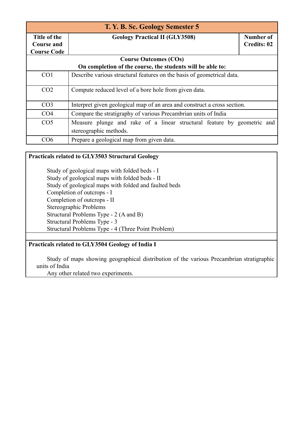| T. Y. B. Sc. Geology Semester 5   |                                                                          |                                 |  |
|-----------------------------------|--------------------------------------------------------------------------|---------------------------------|--|
| Title of the<br><b>Course and</b> | <b>Geology Practical II (GLY3508)</b>                                    | Number of<br><b>Credits: 02</b> |  |
| <b>Course Code</b>                |                                                                          |                                 |  |
|                                   | <b>Course Outcomes (COs)</b>                                             |                                 |  |
|                                   | On completion of the course, the students will be able to:               |                                 |  |
| CO <sub>1</sub>                   | Describe various structural features on the basis of geometrical data.   |                                 |  |
| CO <sub>2</sub>                   | Compute reduced level of a bore hole from given data.                    |                                 |  |
| CO <sub>3</sub>                   | Interpret given geological map of an area and construct a cross section. |                                 |  |
| CO <sub>4</sub>                   | Compare the stratigraphy of various Precambrian units of India           |                                 |  |
| CO <sub>5</sub>                   | Measure plunge and rake of a linear structural feature by geometric and  |                                 |  |
|                                   | stereographic methods.                                                   |                                 |  |
| CO6                               | Prepare a geological map from given data.                                |                                 |  |

#### **Practicals related to GLY3503 Structural Geology**

Study of geological maps with folded beds - I Study of geological maps with folded beds - II Study of geological maps with folded and faulted beds Completion of outcrops - I Completion of outcrops - II Stereographic Problems Structural Problems Type - 2 (A and B) Structural Problems Type - 3 Structural Problems Type - 4 (Three Point Problem)

#### **Practicals related to GLY3504 Geology of India I**

Study of maps showing geographical distribution of the various Precambrian stratigraphic units of India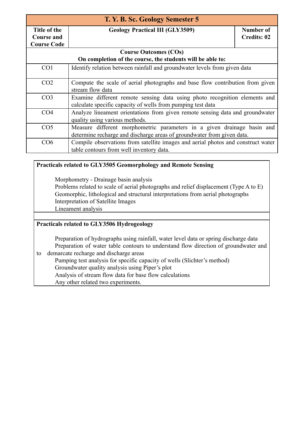| T. Y. B. Sc. Geology Semester 5                         |                                                                                                                                                   |                                 |  |
|---------------------------------------------------------|---------------------------------------------------------------------------------------------------------------------------------------------------|---------------------------------|--|
| Title of the<br><b>Course and</b><br><b>Course Code</b> | <b>Geology Practical III (GLY3509)</b>                                                                                                            | Number of<br><b>Credits: 02</b> |  |
|                                                         | <b>Course Outcomes (COs)</b>                                                                                                                      |                                 |  |
|                                                         | On completion of the course, the students will be able to:                                                                                        |                                 |  |
| CO <sub>1</sub>                                         | Identify relation between rainfall and groundwater levels from given data                                                                         |                                 |  |
| CO <sub>2</sub>                                         | Compute the scale of aerial photographs and base flow contribution from given<br>stream flow data                                                 |                                 |  |
| CO <sub>3</sub>                                         | Examine different remote sensing data using photo recognition elements and<br>calculate specific capacity of wells from pumping test data         |                                 |  |
| CO <sub>4</sub>                                         | Analyze lineament orientations from given remote sensing data and groundwater<br>quality using various methods.                                   |                                 |  |
| CO <sub>5</sub>                                         | Measure different morphometric parameters in a given drainage basin and<br>determine recharge and discharge areas of groundwater from given data. |                                 |  |
| CO6                                                     | Compile observations from satellite images and aerial photos and construct water<br>table contours from well inventory data.                      |                                 |  |

#### **Practicals related to GLY3505 Geomorphology and Remote Sensing**

Morphometry - Drainage basin analysis

Problems related to scale of aerial photographs and relief displacement (Type A to E) Geomorphic, lithological and structural interpretations from aerial photographs Interpretation of Satellite Images Lineament analysis

#### **Practicals related to GLY3506 Hydrogeology**

Preparation of hydrographs using rainfall, water level data or spring discharge data Preparation of water table contours to understand flow direction of groundwater and to demarcate recharge and discharge areas

Pumping test analysis for specific capacity of wells (Slichter's method) Groundwater quality analysis using Piper's plot

Analysis of stream flow data for base flow calculations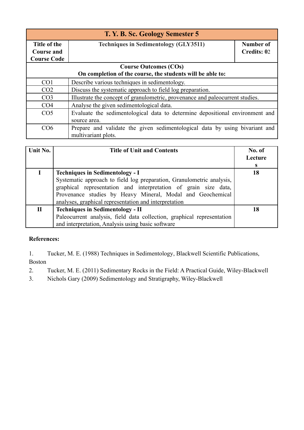| T. Y. B. Sc. Geology Semester 5 |                                                                               |                    |  |
|---------------------------------|-------------------------------------------------------------------------------|--------------------|--|
| Title of the                    | <b>Techniques in Sedimentology (GLY3511)</b>                                  | Number of          |  |
| <b>Course and</b>               |                                                                               | <b>Credits: 02</b> |  |
| <b>Course Code</b>              |                                                                               |                    |  |
|                                 | <b>Course Outcomes (COs)</b>                                                  |                    |  |
|                                 | On completion of the course, the students will be able to:                    |                    |  |
| CO <sub>1</sub>                 | Describe various techniques in sedimentology.                                 |                    |  |
| CO <sub>2</sub>                 | Discuss the systematic approach to field log preparation.                     |                    |  |
| CO <sub>3</sub>                 | Illustrate the concept of granulometric, provenance and paleocurrent studies. |                    |  |
| CO <sub>4</sub>                 | Analyse the given sedimentological data.                                      |                    |  |
| CO <sub>5</sub>                 | Evaluate the sedimentological data to determine depositional environment and  |                    |  |
|                                 | source area.                                                                  |                    |  |
| CO6                             | Prepare and validate the given sedimentological data by using bivariant and   |                    |  |
|                                 | multivariant plots.                                                           |                    |  |

| Unit No.    | <b>Title of Unit and Contents</b>                                                                                                                                                                                                                                                                         | No. of<br>Lecture<br>S |
|-------------|-----------------------------------------------------------------------------------------------------------------------------------------------------------------------------------------------------------------------------------------------------------------------------------------------------------|------------------------|
|             | <b>Techniques in Sedimentology - I</b><br>Systematic approach to field log preparation, Granulometric analysis,<br>graphical representation and interpretation of grain size data,<br>Provenance studies by Heavy Mineral, Modal and Geochemical<br>analyses, graphical representation and interpretation | 18                     |
| $\mathbf H$ | <b>Techniques in Sedimentology - II</b><br>Paleocurrent analysis, field data collection, graphical representation<br>and interpretation, Analysis using basic software                                                                                                                                    | 18                     |

1. Tucker, M. E. (1988) Techniques in Sedimentology, Blackwell Scientific Publications, Boston

2. Tucker, M. E. (2011) Sedimentary Rocks in the Field: A Practical Guide, Wiley-Blackwell

3. Nichols Gary (2009) Sedimentology and Stratigraphy, Wiley-Blackwell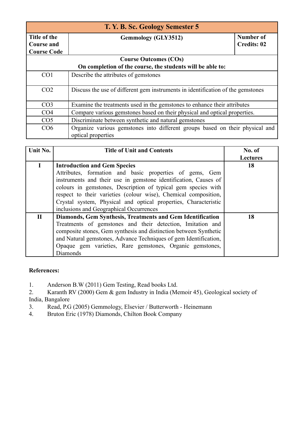| T. Y. B. Sc. Geology Semester 5 |                                                                                                    |                    |  |
|---------------------------------|----------------------------------------------------------------------------------------------------|--------------------|--|
| Title of the                    | <b>Gemmology (GLY3512)</b>                                                                         | <b>Number of</b>   |  |
| <b>Course and</b>               |                                                                                                    | <b>Credits: 02</b> |  |
| <b>Course Code</b>              |                                                                                                    |                    |  |
|                                 | <b>Course Outcomes (COs)</b>                                                                       |                    |  |
|                                 | On completion of the course, the students will be able to:                                         |                    |  |
| CO <sub>1</sub>                 | Describe the attributes of gemstones                                                               |                    |  |
| CO <sub>2</sub>                 | Discuss the use of different gem instruments in identification of the gemstones                    |                    |  |
| CO <sub>3</sub>                 | Examine the treatments used in the gemstones to enhance their attributes                           |                    |  |
| CO <sub>4</sub>                 | Compare various gemstones based on their physical and optical properties.                          |                    |  |
| CO <sub>5</sub>                 | Discriminate between synthetic and natural gemstones                                               |                    |  |
| CO6                             | Organize various gemstones into different groups based on their physical and<br>optical properties |                    |  |

| Unit No.     | <b>Title of Unit and Contents</b>                                 | No. of<br><b>Lectures</b> |
|--------------|-------------------------------------------------------------------|---------------------------|
|              | <b>Introduction and Gem Species</b>                               | 18                        |
|              | Attributes, formation and basic properties of gems, Gem           |                           |
|              | instruments and their use in gemstone identification, Causes of   |                           |
|              | colours in gemstones, Description of typical gem species with     |                           |
|              | respect to their varieties (colour wise), Chemical composition,   |                           |
|              | Crystal system, Physical and optical properties, Characteristic   |                           |
|              | inclusions and Geographical Occurrences                           |                           |
| $\mathbf{H}$ | Diamonds, Gem Synthesis, Treatments and Gem Identification        | 18                        |
|              | Treatments of gemstones and their detection, Imitation and        |                           |
|              | composite stones, Gem synthesis and distinction between Synthetic |                           |
|              | and Natural gemstones, Advance Techniques of gem Identification,  |                           |
|              | Opaque gem varieties, Rare gemstones, Organic gemstones,          |                           |
|              | Diamonds                                                          |                           |

1. Anderson B.W (2011) Gem Testing, Read books Ltd.

2. Karanth RV (2000) Gem & gem Industry in India (Memoir 45), Geological society of India, Bangalore<br>3. Read, P.G

Read, P.G (2005) Gemmology, Elsevier / Butterworth - Heinemann

4. Bruton Eric (1978) Diamonds, Chilton Book Company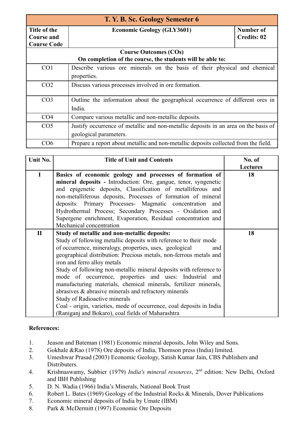| T. Y. B. Sc. Geology Semester 6                            |                                                                                     |                    |
|------------------------------------------------------------|-------------------------------------------------------------------------------------|--------------------|
| Title of the                                               | <b>Economic Geology (GLY3601)</b>                                                   | <b>Number of</b>   |
| Course and                                                 |                                                                                     | <b>Credits: 02</b> |
| <b>Course Code</b>                                         |                                                                                     |                    |
|                                                            | <b>Course Outcomes (COs)</b>                                                        |                    |
| On completion of the course, the students will be able to: |                                                                                     |                    |
| CO <sub>1</sub>                                            | Describe various ore minerals on the basis of their physical and chemical           |                    |
|                                                            | properties.                                                                         |                    |
| CO <sub>2</sub>                                            | Discuss various processes involved in ore formation.                                |                    |
|                                                            |                                                                                     |                    |
| CO <sub>3</sub>                                            | Outline the information about the geographical occurrence of different ores in      |                    |
|                                                            | India.                                                                              |                    |
| CO <sub>4</sub>                                            | Compare various metallic and non-metallic deposits.                                 |                    |
| CO <sub>5</sub>                                            | Justify occurrence of metallic and non-metallic deposits in an area on the basis of |                    |
|                                                            | geological parameters.                                                              |                    |
| CO <sub>6</sub>                                            | Prepare a report about metallic and non-metallic deposits collected from the field. |                    |

| Unit No.     | <b>Title of Unit and Contents</b>                                    | No. of          |
|--------------|----------------------------------------------------------------------|-----------------|
|              |                                                                      | <b>Lectures</b> |
| I            | Basics of economic geology and processes of formation of             | 18              |
|              | mineral deposits - Introduction: Ore, gangue, tenor, syngenetic      |                 |
|              | and epigenetic deposits, Classification of metalliferous and         |                 |
|              | non-metalliferous deposits, Processes of formation of mineral        |                 |
|              | deposits: Primary Processes- Magmatic concentration and              |                 |
|              | Hydrothermal Process; Secondary Processes - Oxidation and            |                 |
|              | Supergene enrichment, Evaporation, Residual concentration and        |                 |
|              | Mechanical concentration                                             |                 |
| $\mathbf{I}$ | Study of metallic and non-metallic deposits:                         | 18              |
|              | Study of following metallic deposits with reference to their mode    |                 |
|              | of occurrence, mineralogy, properties, uses, geological<br>and       |                 |
|              | geographical distribution: Precious metals, non-ferrous metals and   |                 |
|              | iron and ferro alloy metals                                          |                 |
|              | Study of following non-metallic mineral deposits with reference to   |                 |
|              | mode of occurrence, properties and uses: Industrial and              |                 |
|              | manufacturing materials, chemical minerals, fertilizer minerals,     |                 |
|              | abrasives $\&$ abrasive minerals and refractory minerals             |                 |
|              | Study of Radioactive minerals                                        |                 |
|              | Coal - origin, varieties, mode of occurrence, coal deposits in India |                 |
|              | (Raniganj and Bokaro), coal fields of Maharashtra                    |                 |

- 1. Jeason and Bateman (1981) Economic mineral deposits, John Wiley and Sons.
- 2. Gokhale &Rao (1978) Ore deposits of India, Thomson press (India) limited.
- 3. Umeshwar Prasad (2003) Economic Geology, Satish Kumar Jain, CBS Publishers and Distributers.
- 4. Krishnaswamy, Subbier (1979) *India's mineral resources*, 2<sup>nd</sup> edition: New Delhi, Oxford and IBH Publishing
- 5. D. N. Wadia (1966) India's Minerals, National Book Trust
- 6. Robert L. Bates (1969) Geology of the Industrial Rocks & Minerals, Dover Publications
- 7. Economic mineral deposits of India by Umate (IBM)
- 8. Park & McDermitt (1997) Economic Ore Deposits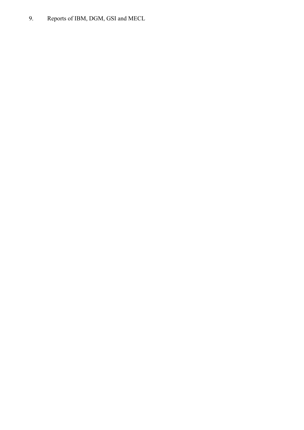9. Reports of IBM, DGM, GSI and MECL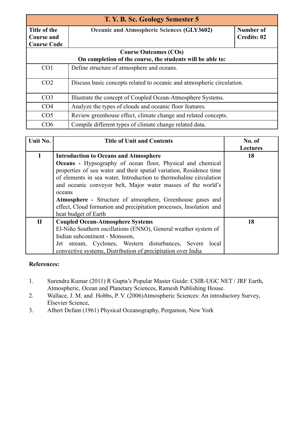| T. Y. B. Sc. Geology Semester 5                         |                                                                        |                                 |  |
|---------------------------------------------------------|------------------------------------------------------------------------|---------------------------------|--|
| Title of the<br><b>Course and</b><br><b>Course Code</b> | <b>Oceanic and Atmospheric Sciences (GLY3602)</b>                      | Number of<br><b>Credits: 02</b> |  |
|                                                         | <b>Course Outcomes (COs)</b>                                           |                                 |  |
|                                                         | On completion of the course, the students will be able to:             |                                 |  |
| CO <sub>1</sub>                                         | Define structure of atmosphere and oceans.                             |                                 |  |
| CO <sub>2</sub>                                         | Discuss basic concepts related to oceanic and atmospheric circulation. |                                 |  |
| CO <sub>3</sub>                                         | Illustrate the concept of Coupled Ocean-Atmosphere Systems.            |                                 |  |
| CO <sub>4</sub>                                         | Analyze the types of clouds and oceanic floor features.                |                                 |  |
| CO <sub>5</sub>                                         | Review greenhouse effect, climate change and related concepts.         |                                 |  |
| CO6                                                     | Compile different types of climate change related data.                |                                 |  |

| Unit No.     | <b>Title of Unit and Contents</b>                                   | No. of          |
|--------------|---------------------------------------------------------------------|-----------------|
|              |                                                                     | <b>Lectures</b> |
| I            | <b>Introduction to Oceans and Atmosphere</b>                        | 18              |
|              | <b>Oceans</b> - Hypsography of ocean floor, Physical and chemical   |                 |
|              | properties of sea water and their spatial variation, Residence time |                 |
|              | of elements in sea water, Introduction to thermohaline circulation  |                 |
|              | and oceanic conveyor belt, Major water masses of the world's        |                 |
|              | oceans                                                              |                 |
|              | <b>Atmosphere -</b> Structure of atmosphere, Greenhouse gases and   |                 |
|              | effect, Cloud formation and precipitation processes, Insolation and |                 |
|              | heat budget of Earth                                                |                 |
| $\mathbf{I}$ | <b>Coupled Ocean-Atmosphere Systems</b>                             | 18              |
|              | El-Niño Southern oscillations (ENSO), General weather system of     |                 |
|              | Indian subcontinent - Monsoon,                                      |                 |
|              | Jet stream, Cyclones, Western disturbances, Severe local            |                 |
|              | convective systems, Distribution of precipitation over India        |                 |

- 1. Surendra Kumar (2011) R Gupta's Popular Master Guide: CSIR-UGC NET / JRF Earth, Atmospheric, Ocean and Planetary Sciences, Ramesh Publishing House.
- 2. Wallace, J. M. and Hobbs, P. V. (2006)Atmospheric Sciences: An introductory Survey, Elsevier Science,
- 3. Albert Defant (1961) Physical Oceanography, Pergamon, New York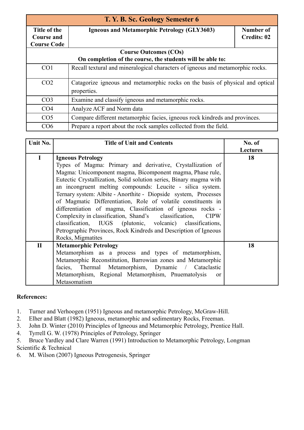| T. Y. B. Sc. Geology Semester 6 |                                                                                |                    |  |
|---------------------------------|--------------------------------------------------------------------------------|--------------------|--|
| Title of the                    | <b>Igneous and Metamorphic Petrology (GLY3603)</b>                             | Number of          |  |
| <b>Course and</b>               |                                                                                | <b>Credits: 02</b> |  |
| <b>Course Code</b>              |                                                                                |                    |  |
|                                 | <b>Course Outcomes (COs)</b>                                                   |                    |  |
|                                 | On completion of the course, the students will be able to:                     |                    |  |
| CO <sub>1</sub>                 | Recall textural and mineralogical characters of igneous and metamorphic rocks. |                    |  |
|                                 |                                                                                |                    |  |
| CO <sub>2</sub>                 | Catagorize igneous and metamorphic rocks on the basis of physical and optical  |                    |  |
|                                 | properties.                                                                    |                    |  |
| CO <sub>3</sub>                 | Examine and classify igneous and metamorphic rocks.                            |                    |  |
| CO <sub>4</sub>                 | Analyze ACF and Norm data                                                      |                    |  |
| CO <sub>5</sub>                 | Compare different metamorphic facies, igneous rock kindreds and provinces.     |                    |  |
| CO6                             | Prepare a report about the rock samples collected from the field.              |                    |  |

| Unit No.     | <b>Title of Unit and Contents</b>                                    | No. of          |
|--------------|----------------------------------------------------------------------|-----------------|
|              |                                                                      | <b>Lectures</b> |
| $\bf{I}$     | <b>Igneous Petrology</b>                                             | 18              |
|              | Types of Magma: Primary and derivative, Crystallization of           |                 |
|              | Magma: Unicomponent magma, Bicomponent magma, Phase rule,            |                 |
|              | Eutectic Crystallization, Solid solution series, Binary magma with   |                 |
|              | an incongruent melting compounds: Leucite - silica system.           |                 |
|              | Ternary system: Albite - Anorthite - Diopside system, Processes      |                 |
|              | of Magmatic Differentiation, Role of volatile constituents in        |                 |
|              | differentiation of magma, Classification of igneous rocks -          |                 |
|              | Complexity in classification, Shand's classification,<br><b>CIPW</b> |                 |
|              | classification, IUGS (plutonic, volcanic) classifications,           |                 |
|              | Petrographic Provinces, Rock Kindreds and Description of Igneous     |                 |
|              | Rocks, Migmatites                                                    |                 |
| $\mathbf{I}$ | <b>Metamorphic Petrology</b>                                         | 18              |
|              | Metamorphism as a process and types of metamorphism,                 |                 |
|              | Metamorphic Reconstitution, Barrowian zones and Metamorphic          |                 |
|              | facies, Thermal Metamorphism, Dynamic / Cataclastic                  |                 |
|              | Metamorphism, Regional Metamorphism, Pnuematolysis<br>$\alpha$       |                 |
|              | Metasomatism                                                         |                 |

- 1. Turner and Verhoogen (1951) Igneous and metamorphic Petrology, McGraw-Hill.
- 2. Elher and Blatt (1982) Igneous, metamorphic and sedimentary Rocks, Freeman.
- 3. John D. Winter (2010) Principles of Igneous and Metamorphic Petrology, Prentice Hall.
- 4. Tyrrell G. W. (1978) Principles of Petrology, Springer
- 5. Bruce Yardley and Clare Warren (1991) Introduction to Metamorphic Petrology, Longman Scientific & Technical
- 6. M. Wilson (2007) Igneous Petrogenesis, Springer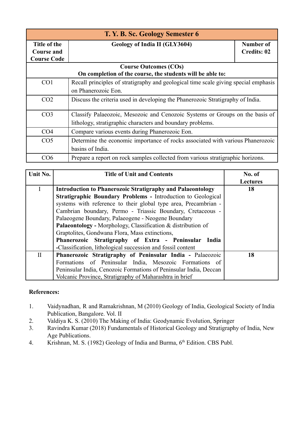| T. Y. B. Sc. Geology Semester 6 |                                                                                     |                    |
|---------------------------------|-------------------------------------------------------------------------------------|--------------------|
| Title of the                    | Geology of India II (GLY3604)                                                       | Number of          |
| <b>Course and</b>               |                                                                                     | <b>Credits: 02</b> |
| <b>Course Code</b>              |                                                                                     |                    |
|                                 | <b>Course Outcomes (COs)</b>                                                        |                    |
|                                 | On completion of the course, the students will be able to:                          |                    |
| CO <sub>1</sub>                 | Recall principles of stratigraphy and geological time scale giving special emphasis |                    |
|                                 | on Phanerozoic Eon.                                                                 |                    |
| CO <sub>2</sub>                 | Discuss the criteria used in developing the Phanerozoic Stratigraphy of India.      |                    |
| CO <sub>3</sub>                 | Classify Palaeozoic, Mesozoic and Cenozoic Systems or Groups on the basis of        |                    |
|                                 | lithology, stratigraphic characters and boundary problems.                          |                    |
| CO <sub>4</sub>                 | Compare various events during Phanerozoic Eon.                                      |                    |
| CO <sub>5</sub>                 | Determine the economic importance of rocks associated with various Phanerozoic      |                    |
|                                 | basins of India.                                                                    |                    |
| CO <sub>6</sub>                 | Prepare a report on rock samples collected from various stratigraphic horizons.     |                    |

| Unit No.     | <b>Title of Unit and Contents</b>                                   | No. of          |
|--------------|---------------------------------------------------------------------|-----------------|
|              |                                                                     | <b>Lectures</b> |
| $\mathbf{L}$ | <b>Introduction to Phanerozoic Stratigraphy and Palaeontology</b>   | 18              |
|              | <b>Stratigraphic Boundary Problems - Introduction to Geological</b> |                 |
|              | systems with reference to their global type area, Precambrian -     |                 |
|              | Cambrian boundary, Permo - Triassic Boundary, Cretaceous -          |                 |
|              | Palaeogene Boundary, Palaeogene - Neogene Boundary                  |                 |
|              | Palaeontology - Morphology, Classification & distribution of        |                 |
|              | Graptolites, Gondwana Flora, Mass extinctions,                      |                 |
|              | Phanerozoic Stratigraphy of Extra - Peninsular India                |                 |
|              | -Classification, lithological succession and fossil content         |                 |
| $\mathbf{I}$ | Phanerozoic Stratigraphy of Peninsular India - Palaeozoic           | 18              |
|              | Formations of Peninsular India, Mesozoic Formations of              |                 |
|              | Peninsular India, Cenozoic Formations of Peninsular India, Deccan   |                 |
|              | Volcanic Province, Stratigraphy of Maharashtra in brief             |                 |

- 1. Vaidynadhan, R and Ramakrishnan, M (2010) Geology of India, Geological Society of India Publication, Bangalore. Vol. II
- 2. Valdiya K. S. (2010) The Making of India: Geodynamic Evolution, Springer
- 3. Ravindra Kumar (2018) Fundamentals of Historical Geology and Stratigraphy of India, New Age Publications.
- 4. Krishnan, M. S. (1982) Geology of India and Burma, 6<sup>th</sup> Edition. CBS Publ.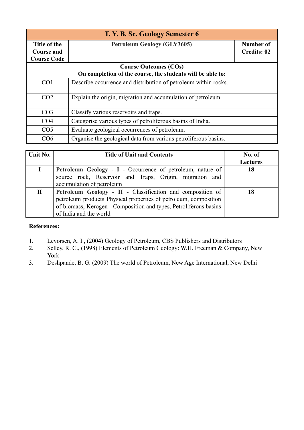| T. Y. B. Sc. Geology Semester 6   |                                                                 |                                 |  |
|-----------------------------------|-----------------------------------------------------------------|---------------------------------|--|
| Title of the<br><b>Course and</b> | <b>Petroleum Geology (GLY3605)</b>                              | Number of<br><b>Credits: 02</b> |  |
| <b>Course Code</b>                | <b>Course Outcomes (COs)</b>                                    |                                 |  |
|                                   | On completion of the course, the students will be able to:      |                                 |  |
| CO <sub>1</sub>                   | Describe occurrence and distribution of petroleum within rocks. |                                 |  |
| CO <sub>2</sub>                   | Explain the origin, migration and accumulation of petroleum.    |                                 |  |
| CO <sub>3</sub>                   | Classify various reservoirs and traps.                          |                                 |  |
| CO <sub>4</sub>                   | Categorise various types of petroliferous basins of India.      |                                 |  |
| CO <sub>5</sub>                   | Evaluate geological occurrences of petroleum.                   |                                 |  |
| CO6                               | Organise the geological data from various petroliferous basins. |                                 |  |

| Unit No. | <b>Title of Unit and Contents</b>                                                                                                                                                                                             | No. of<br><b>Lectures</b> |
|----------|-------------------------------------------------------------------------------------------------------------------------------------------------------------------------------------------------------------------------------|---------------------------|
|          | Petroleum Geology - I - Occurrence of petroleum, nature of<br>source rock, Reservoir and Traps, Origin, migration and<br>accumulation of petroleum                                                                            | 18                        |
| П        | Petroleum Geology - II - Classification and composition of<br>petroleum products Physical properties of petroleum, composition<br>of biomass, Kerogen - Composition and types, Petroliferous basins<br>of India and the world |                           |

- 1. Levorsen, A. I., (2004) Geology of Petroleum, CBS Publishers and Distributors
- 2. Selley, R. C., (1998) Elements of Petroleum Geology: W.H. Freeman & Company, New York
- 3. Deshpande, B. G. (2009) The world of Petroleum, New Age International, New Delhi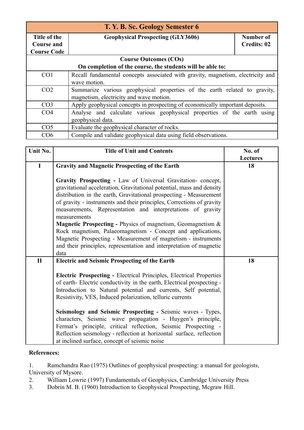| T. Y. B. Sc. Geology Semester 6 |                                                                                 |                    |
|---------------------------------|---------------------------------------------------------------------------------|--------------------|
| Title of the                    | <b>Geophysical Prospecting (GLY3606)</b>                                        | Number of          |
| <b>Course and</b>               |                                                                                 | <b>Credits: 02</b> |
| <b>Course Code</b>              |                                                                                 |                    |
|                                 | <b>Course Outcomes (COs)</b>                                                    |                    |
|                                 | On completion of the course, the students will be able to:                      |                    |
| CO <sub>1</sub>                 | Recall fundamental concepts associated with gravity, magnetism, electricity and |                    |
|                                 | wave motion.                                                                    |                    |
| CO <sub>2</sub>                 | Summarize various geophysical properties of the earth related to gravity,       |                    |
|                                 | magnetism, electricity and wave motion.                                         |                    |
| CO <sub>3</sub>                 | Apply geophysical concepts in prospecting of economically important deposits.   |                    |
| CO <sub>4</sub>                 | Analyse and calculate various geophysical properties of the earth using         |                    |
|                                 | geophysical data.                                                               |                    |
| CO <sub>5</sub>                 | Evaluate the geophysical character of rocks.                                    |                    |
| CO6                             | Compile and validate geophysical data using field observations.                 |                    |

| Unit No.     | <b>Title of Unit and Contents</b>                                                                                                                                                                                                                                                                                                                                                                                                                                                                                                                                                                                                                                         | No. of          |
|--------------|---------------------------------------------------------------------------------------------------------------------------------------------------------------------------------------------------------------------------------------------------------------------------------------------------------------------------------------------------------------------------------------------------------------------------------------------------------------------------------------------------------------------------------------------------------------------------------------------------------------------------------------------------------------------------|-----------------|
|              |                                                                                                                                                                                                                                                                                                                                                                                                                                                                                                                                                                                                                                                                           | <b>Lectures</b> |
| $\mathbf I$  | <b>Gravity and Magnetic Prospecting of the Earth</b>                                                                                                                                                                                                                                                                                                                                                                                                                                                                                                                                                                                                                      | 18              |
|              | Gravity Prospecting - Law of Universal Gravitation-concept,<br>gravitational acceleration, Gravitational potential, mass and density<br>distribution in the earth, Gravitational prospecting - Measurement<br>of gravity - instruments and their principles, Corrections of gravity<br>measurements, Representation and interpretations of gravity<br>measurements<br><b>Magnetic Prospecting - Physics of magnetism, Geomagnetism <math>\&amp;</math></b><br>Rock magnetism, Palaeomagnetism - Concept and applications,<br>Magnetic Prospecting - Measurement of magnetism - instruments<br>and their principles, representation and interpretation of magnetic<br>data |                 |
| $\mathbf{I}$ | <b>Electric and Seismic Prospecting of the Earth</b>                                                                                                                                                                                                                                                                                                                                                                                                                                                                                                                                                                                                                      | 18              |
|              | <b>Electric Prospecting - Electrical Principles, Electrical Properties</b><br>of earth- Electric conductivity in the earth, Electrical prospecting -<br>Introduction to Natural potential and currents, Self potential,<br>Resistivity, VES, Induced polarization, telluric currents                                                                                                                                                                                                                                                                                                                                                                                      |                 |
|              | Seismology and Seismic Prospecting - Seismic waves - Types,<br>characters, Seismic wave propagation - Huygen's principle,<br>Fermat's principle, critical reflection, Seismic Prospecting -<br>Reflection seismology - reflection at horizontal surface, reflection<br>at inclined surface, concept of seismic noise                                                                                                                                                                                                                                                                                                                                                      |                 |

1. Ramchandra Rao (1975) Outlines of geophysical prospecting: a manual for geologists, University of Mysore.

2. William Lowrie (1997) Fundamentals of Geophysics, Cambridge University Press

3. Dobrin M. B. (1960) Introduction to Geophysical Prospecting, Mcgraw Hill.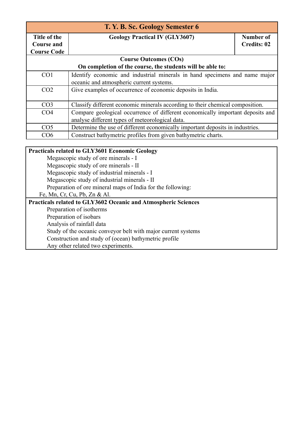| T. Y. B. Sc. Geology Semester 6 |                                                                                |                    |
|---------------------------------|--------------------------------------------------------------------------------|--------------------|
| Title of the                    | <b>Geology Practical IV (GLY3607)</b>                                          | Number of          |
| <b>Course and</b>               |                                                                                | <b>Credits: 02</b> |
| <b>Course Code</b>              |                                                                                |                    |
|                                 | <b>Course Outcomes (COs)</b>                                                   |                    |
|                                 | On completion of the course, the students will be able to:                     |                    |
| CO <sub>1</sub>                 | Identify economic and industrial minerals in hand specimens and name major     |                    |
|                                 | oceanic and atmospheric current systems.                                       |                    |
| CO <sub>2</sub>                 | Give examples of occurrence of economic deposits in India.                     |                    |
|                                 |                                                                                |                    |
| CO <sub>3</sub>                 | Classify different economic minerals according to their chemical composition.  |                    |
| CO <sub>4</sub>                 | Compare geological occurrence of different economically important deposits and |                    |
|                                 | analyse different types of meteorological data.                                |                    |
| CO <sub>5</sub>                 | Determine the use of different economically important deposits in industries.  |                    |
| CO6                             | Construct bathymetric profiles from given bathymetric charts.                  |                    |

#### **Practicals related to GLY3601 Economic Geology**

Megascopic study of ore minerals - I

Megascopic study of ore minerals - II

Megascopic study of industrial minerals - I

Megascopic study of industrial minerals - II

Preparation of ore mineral maps of India for the following:

Fe, Mn, Cr, Cu, Pb, Zn & Al.

## **Practicals related to GLY3602 Oceanic and Atmospheric Sciences**

Preparation of isotherms

Preparation of isobars

Analysis of rainfall data

Study of the oceanic conveyor belt with major current systems

Construction and study of (ocean) bathymetric profile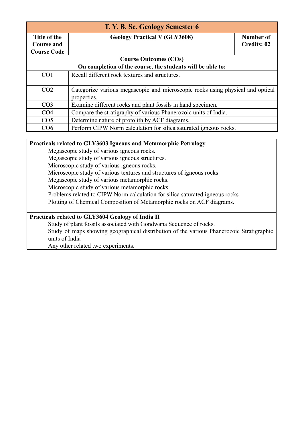| T. Y. B. Sc. Geology Semester 6 |                                                                                               |                    |  |
|---------------------------------|-----------------------------------------------------------------------------------------------|--------------------|--|
| Title of the                    | <b>Geology Practical V (GLY3608)</b>                                                          | Number of          |  |
| <b>Course and</b>               |                                                                                               | <b>Credits: 02</b> |  |
| <b>Course Code</b>              |                                                                                               |                    |  |
|                                 | <b>Course Outcomes (COs)</b>                                                                  |                    |  |
|                                 | On completion of the course, the students will be able to:                                    |                    |  |
| CO <sub>1</sub>                 | Recall different rock textures and structures.                                                |                    |  |
| CO <sub>2</sub>                 | Categorize various megascopic and microscopic rocks using physical and optical<br>properties. |                    |  |
| CO <sub>3</sub>                 | Examine different rocks and plant fossils in hand specimen.                                   |                    |  |
| CO <sub>4</sub>                 | Compare the stratigraphy of various Phanerozoic units of India.                               |                    |  |
| CO <sub>5</sub>                 | Determine nature of protolith by ACF diagrams.                                                |                    |  |
| CO6                             | Perform CIPW Norm calculation for silica saturated igneous rocks.                             |                    |  |

#### **Practicals related to GLY3603 Igneous and Metamorphic Petrology**

Megascopic study of various igneous rocks.

Megascopic study of various igneous structures.

Microscopic study of various igneous rocks.

Microscopic study of various textures and structures of igneous rocks

Megascopic study of various metamorphic rocks.

Microscopic study of various metamorphic rocks.

Problems related to CIPW Norm calculation for silica saturated igneous rocks

Plotting of Chemical Composition of Metamorphic rocks on ACF diagrams.

#### **Practicals related to GLY3604 Geology of India II**

Study of plant fossils associated with Gondwana Sequence of rocks. Study of maps showing geographical distribution of the various Phanerozoic Stratigraphic units of India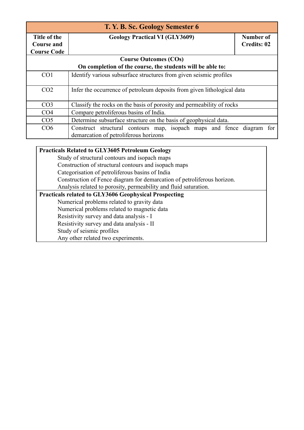| T. Y. B. Sc. Geology Semester 6 |                                                                         |                    |
|---------------------------------|-------------------------------------------------------------------------|--------------------|
| Title of the                    | <b>Geology Practical VI (GLY3609)</b>                                   | Number of          |
| <b>Course and</b>               |                                                                         | <b>Credits: 02</b> |
| <b>Course Code</b>              |                                                                         |                    |
|                                 | <b>Course Outcomes (COs)</b>                                            |                    |
|                                 | On completion of the course, the students will be able to:              |                    |
| CO <sub>1</sub>                 | Identify various subsurface structures from given seismic profiles      |                    |
| CO <sub>2</sub>                 | Infer the occurrence of petroleum deposits from given lithological data |                    |
| CO <sub>3</sub>                 | Classify the rocks on the basis of porosity and permeability of rocks   |                    |
| CO <sub>4</sub>                 | Compare petroliferous basins of India.                                  |                    |
| CO <sub>5</sub>                 | Determine subsurface structure on the basis of geophysical data.        |                    |
| CO6                             | Construct structural contours map, isopach maps and fence diagram       | for                |
|                                 | demarcation of petroliferous horizons                                   |                    |

#### **Practicals Related to GLY3605 Petroleum Geology**

Study of structural contours and isopach maps Construction of structural contours and isopach maps Categorisation of petroliferous basins of India Construction of Fence diagram for demarcation of petroliferous horizon. Analysis related to porosity, permeability and fluid saturation. **Practicals related to GLY3606 Geophysical Prospecting** Numerical problems related to gravity data Numerical problems related to magnetic data Resistivity survey and data analysis - I Resistivity survey and data analysis - II Study of seismic profiles Any other related two experiments.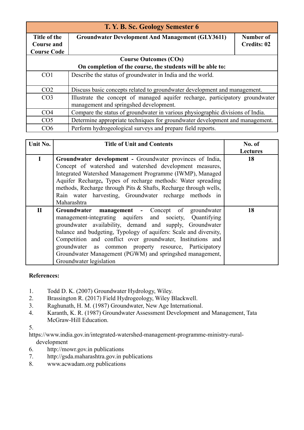| T. Y. B. Sc. Geology Semester 6 |                                                                                                                         |                    |  |
|---------------------------------|-------------------------------------------------------------------------------------------------------------------------|--------------------|--|
| Title of the                    | <b>Groundwater Development And Management (GLY3611)</b>                                                                 | Number of          |  |
| <b>Course and</b>               |                                                                                                                         | <b>Credits: 02</b> |  |
| <b>Course Code</b>              |                                                                                                                         |                    |  |
|                                 | <b>Course Outcomes (COs)</b>                                                                                            |                    |  |
|                                 | On completion of the course, the students will be able to:                                                              |                    |  |
| CO <sub>1</sub>                 | Describe the status of groundwater in India and the world.                                                              |                    |  |
| CO <sub>2</sub>                 | Discuss basic concepts related to groundwater development and management.                                               |                    |  |
| CO <sub>3</sub>                 | Illustrate the concept of managed aquifer recharge, participatory groundwater<br>management and springshed development. |                    |  |
| CO <sub>4</sub>                 | Compare the status of groundwater in various physiographic divisions of India.                                          |                    |  |
| CO <sub>5</sub>                 | Determine appropriate techniques for groundwater development and management.                                            |                    |  |
| CO6                             | Perform hydrogeological surveys and prepare field reports.                                                              |                    |  |

| Unit No.     | <b>Title of Unit and Contents</b>                                                                                                                                                                                                                                                                                                                                                                                                                            | No. of<br><b>Lectures</b> |
|--------------|--------------------------------------------------------------------------------------------------------------------------------------------------------------------------------------------------------------------------------------------------------------------------------------------------------------------------------------------------------------------------------------------------------------------------------------------------------------|---------------------------|
| $\mathbf I$  | Groundwater development - Groundwater provinces of India,<br>Concept of watershed and watershed development measures,<br>Integrated Watershed Management Programme (IWMP), Managed<br>Aquifer Recharge, Types of recharge methods: Water spreading<br>methods, Recharge through Pits & Shafts, Recharge through wells,<br>Rain water harvesting, Groundwater recharge methods in<br>Maharashtra                                                              | 18                        |
| $\mathbf{I}$ | Groundwater management - Concept of groundwater<br>management-integrating aquifers and society, Quantifying<br>groundwater availability, demand and supply, Groundwater<br>balance and budgeting, Typology of aquifers: Scale and diversity,<br>Competition and conflict over groundwater, Institutions and<br>groundwater as common property resource, Participatory<br>Groundwater Management (PGWM) and springshed management,<br>Groundwater legislation | 18                        |

- 1. Todd D. K. (2007) Groundwater Hydrology, Wiley.
- 2. Brassington R. (2017) Field Hydrogeology, Wiley Blackwell.
- 3. Raghunath, H. M. (1987) Groundwater, New Age International.
- 4. Karanth, K. R. (1987) Groundwater Assessment Development and Management, Tata McGraw-Hill Education.
- 5.

[https://www.india.gov.in/integrated-watershed-management-programme-ministry-rural](https://www.india.gov.in/integrated-watershed-management-programme-ministry-rural-development)[development](https://www.india.gov.in/integrated-watershed-management-programme-ministry-rural-development)

- 6. <http://mowr.gov.in> publications
- 7. <http://gsda.maharashtra.gov.in> publications
- 8. [www.acwadam.org](http://www.acwadam.org) publications